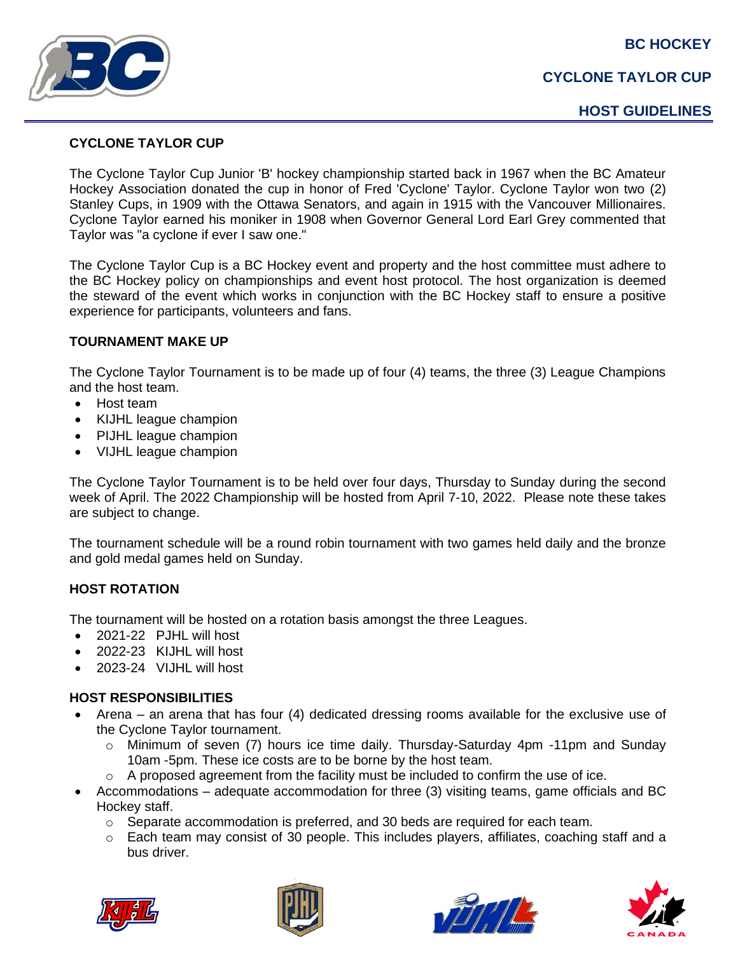**BC HOCKEY**



### **CYCLONE TAYLOR CUP**

# **CYCLONE TAYLOR CUP**

The Cyclone Taylor Cup Junior 'B' hockey championship started back in 1967 when the BC Amateur Hockey Association donated the cup in honor of Fred 'Cyclone' Taylor. Cyclone Taylor won two (2) Stanley Cups, in 1909 with the Ottawa Senators, and again in 1915 with the Vancouver Millionaires. Cyclone Taylor earned his moniker in 1908 when Governor General Lord Earl Grey commented that Taylor was "a cyclone if ever I saw one."

The Cyclone Taylor Cup is a BC Hockey event and property and the host committee must adhere to the BC Hockey policy on championships and event host protocol. The host organization is deemed the steward of the event which works in conjunction with the BC Hockey staff to ensure a positive experience for participants, volunteers and fans.

### **TOURNAMENT MAKE UP**

The Cyclone Taylor Tournament is to be made up of four (4) teams, the three (3) League Champions and the host team.

- Host team
- KIJHL league champion
- PIJHL league champion
- VIJHL league champion

The Cyclone Taylor Tournament is to be held over four days, Thursday to Sunday during the second week of April. The 2022 Championship will be hosted from April 7-10, 2022. Please note these takes are subject to change.

The tournament schedule will be a round robin tournament with two games held daily and the bronze and gold medal games held on Sunday.

# **HOST ROTATION**

The tournament will be hosted on a rotation basis amongst the three Leagues.

- 2021-22 PJHL will host
- 2022-23 KIJHL will host
- 2023-24 VIJHL will host

# **HOST RESPONSIBILITIES**

- Arena an arena that has four (4) dedicated dressing rooms available for the exclusive use of the Cyclone Taylor tournament.
	- $\circ$  Minimum of seven (7) hours ice time daily. Thursday-Saturday 4pm -11pm and Sunday 10am -5pm. These ice costs are to be borne by the host team.
	- o A proposed agreement from the facility must be included to confirm the use of ice.
- Accommodations adequate accommodation for three (3) visiting teams, game officials and BC Hockey staff.
	- $\circ$  Separate accommodation is preferred, and 30 beds are required for each team.
	- $\circ$  Each team may consist of 30 people. This includes players, affiliates, coaching staff and a bus driver.







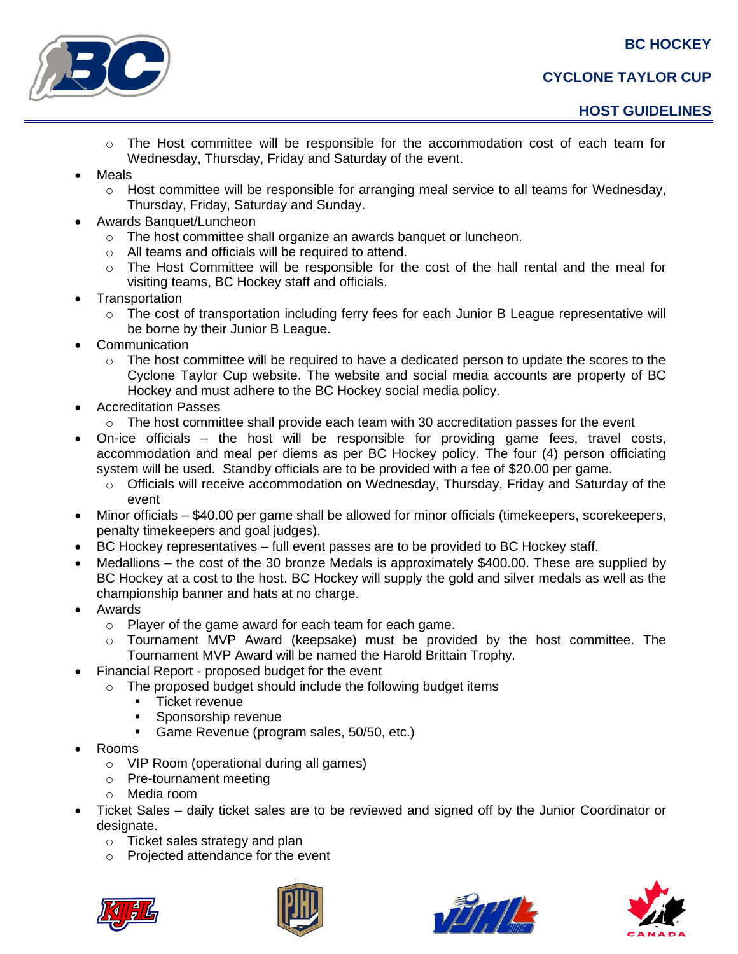**BC HOCKEY**



- $\circ$  The Host committee will be responsible for the accommodation cost of each team for Wednesday, Thursday, Friday and Saturday of the event.
- **Meals** 
	- $\circ$  Host committee will be responsible for arranging meal service to all teams for Wednesday, Thursday, Friday, Saturday and Sunday.
- Awards Banquet/Luncheon
	- o The host committee shall organize an awards banquet or luncheon.
	- o All teams and officials will be required to attend.
	- $\circ$  The Host Committee will be responsible for the cost of the hall rental and the meal for visiting teams, BC Hockey staff and officials.
- **Transportation** 
	- The cost of transportation including ferry fees for each Junior B League representative will be borne by their Junior B League.
- **Communication** 
	- $\circ$  The host committee will be required to have a dedicated person to update the scores to the Cyclone Taylor Cup website. The website and social media accounts are property of BC Hockey and must adhere to the BC Hockey social media policy.
- Accreditation Passes
	- $\circ$  The host committee shall provide each team with 30 accreditation passes for the event
- On-ice officials the host will be responsible for providing game fees, travel costs, accommodation and meal per diems as per BC Hockey policy. The four (4) person officiating system will be used. Standby officials are to be provided with a fee of \$20.00 per game.
	- $\circ$  Officials will receive accommodation on Wednesday, Thursday, Friday and Saturday of the event
- Minor officials \$40.00 per game shall be allowed for minor officials (timekeepers, scorekeepers, penalty timekeepers and goal judges).
- BC Hockey representatives full event passes are to be provided to BC Hockey staff.
- Medallions the cost of the 30 bronze Medals is approximately \$400.00. These are supplied by BC Hockey at a cost to the host. BC Hockey will supply the gold and silver medals as well as the championship banner and hats at no charge.
- Awards
	- o Player of the game award for each team for each game.
	- $\circ$  Tournament MVP Award (keepsake) must be provided by the host committee. The Tournament MVP Award will be named the Harold Brittain Trophy.
	- Financial Report proposed budget for the event
	- o The proposed budget should include the following budget items
		- **■** Ticket revenue
		- Sponsorship revenue
		- Game Revenue (program sales, 50/50, etc.)
- Rooms
	- o VIP Room (operational during all games)
	- o Pre-tournament meeting
	- o Media room
- Ticket Sales daily ticket sales are to be reviewed and signed off by the Junior Coordinator or designate.
	- o Ticket sales strategy and plan
	- o Projected attendance for the event